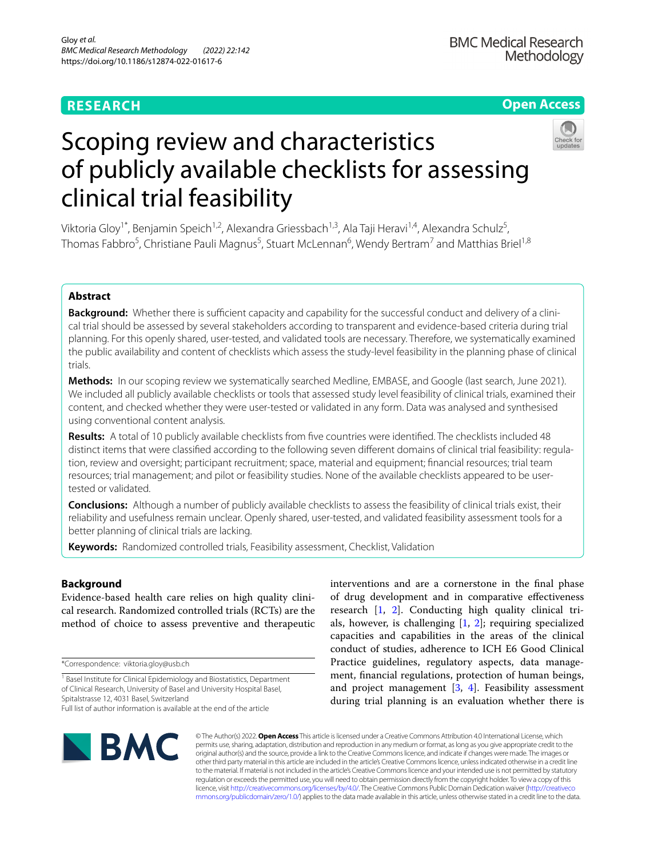# **RESEARCH**

# **Open Access**



# Scoping review and characteristics of publicly available checklists for assessing clinical trial feasibility

Viktoria Gloy<sup>1\*</sup>, Benjamin Speich<sup>1,2</sup>, Alexandra Griessbach<sup>1,3</sup>, Ala Taji Heravi<sup>1,4</sup>, Alexandra Schulz<sup>5</sup>, Thomas Fabbro<sup>5</sup>, Christiane Pauli Magnus<sup>5</sup>, Stuart McLennan<sup>6</sup>, Wendy Bertram<sup>7</sup> and Matthias Briel<sup>1,8</sup>

# **Abstract**

**Background:** Whether there is sufficient capacity and capability for the successful conduct and delivery of a clinical trial should be assessed by several stakeholders according to transparent and evidence-based criteria during trial planning. For this openly shared, user-tested, and validated tools are necessary. Therefore, we systematically examined the public availability and content of checklists which assess the study-level feasibility in the planning phase of clinical trials.

**Methods:** In our scoping review we systematically searched Medline, EMBASE, and Google (last search, June 2021). We included all publicly available checklists or tools that assessed study level feasibility of clinical trials, examined their content, and checked whether they were user-tested or validated in any form. Data was analysed and synthesised using conventional content analysis.

**Results:** A total of 10 publicly available checklists from fve countries were identifed. The checklists included 48 distinct items that were classifed according to the following seven diferent domains of clinical trial feasibility: regulation, review and oversight; participant recruitment; space, material and equipment; fnancial resources; trial team resources; trial management; and pilot or feasibility studies. None of the available checklists appeared to be usertested or validated.

**Conclusions:** Although a number of publicly available checklists to assess the feasibility of clinical trials exist, their reliability and usefulness remain unclear. Openly shared, user-tested, and validated feasibility assessment tools for a better planning of clinical trials are lacking.

**Keywords:** Randomized controlled trials, Feasibility assessment, Checklist, Validation

### **Background**

Evidence-based health care relies on high quality clinical research. Randomized controlled trials (RCTs) are the method of choice to assess preventive and therapeutic

\*Correspondence: viktoria.gloy@usb.ch

<sup>1</sup> Basel Institute for Clinical Epidemiology and Biostatistics, Department of Clinical Research, University of Basel and University Hospital Basel, Spitalstrasse 12, 4031 Basel, Switzerland

Full list of author information is available at the end of the article

interventions and are a cornerstone in the fnal phase of drug development and in comparative efectiveness research [\[1](#page-7-0), [2](#page-7-1)]. Conducting high quality clinical trials, however, is challenging [\[1](#page-7-0), [2](#page-7-1)]; requiring specialized capacities and capabilities in the areas of the clinical conduct of studies, adherence to ICH E6 Good Clinical Practice guidelines, regulatory aspects, data management, fnancial regulations, protection of human beings, and project management  $[3, 4]$  $[3, 4]$  $[3, 4]$  $[3, 4]$ . Feasibility assessment during trial planning is an evaluation whether there is



© The Author(s) 2022. **Open Access** This article is licensed under a Creative Commons Attribution 4.0 International License, which permits use, sharing, adaptation, distribution and reproduction in any medium or format, as long as you give appropriate credit to the original author(s) and the source, provide a link to the Creative Commons licence, and indicate if changes were made. The images or other third party material in this article are included in the article's Creative Commons licence, unless indicated otherwise in a credit line to the material. If material is not included in the article's Creative Commons licence and your intended use is not permitted by statutory regulation or exceeds the permitted use, you will need to obtain permission directly from the copyright holder. To view a copy of this licence, visit [http://creativecommons.org/licenses/by/4.0/.](http://creativecommons.org/licenses/by/4.0/) The Creative Commons Public Domain Dedication waiver ([http://creativeco](http://creativecommons.org/publicdomain/zero/1.0/) [mmons.org/publicdomain/zero/1.0/](http://creativecommons.org/publicdomain/zero/1.0/)) applies to the data made available in this article, unless otherwise stated in a credit line to the data.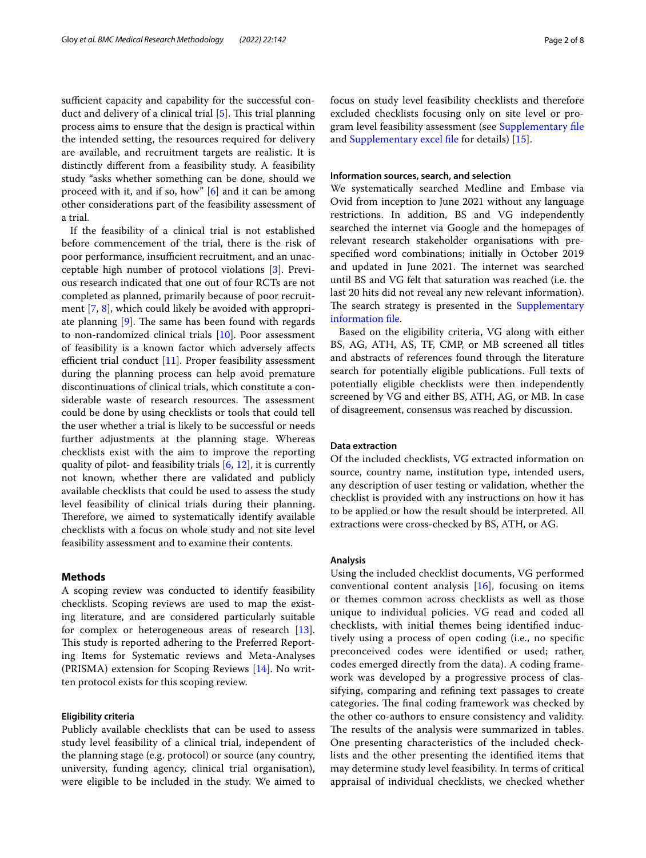sufficient capacity and capability for the successful conduct and delivery of a clinical trial  $[5]$  $[5]$ . This trial planning process aims to ensure that the design is practical within the intended setting, the resources required for delivery are available, and recruitment targets are realistic. It is distinctly diferent from a feasibility study. A feasibility study "asks whether something can be done, should we proceed with it, and if so, how" [\[6](#page-7-5)] and it can be among other considerations part of the feasibility assessment of a trial.

If the feasibility of a clinical trial is not established before commencement of the trial, there is the risk of poor performance, insufficient recruitment, and an unacceptable high number of protocol violations [\[3](#page-7-2)]. Previous research indicated that one out of four RCTs are not completed as planned, primarily because of poor recruitment [[7,](#page-7-6) [8\]](#page-7-7), which could likely be avoided with appropriate planning  $[9]$  $[9]$  $[9]$ . The same has been found with regards to non-randomized clinical trials [\[10](#page-7-9)]. Poor assessment of feasibility is a known factor which adversely afects efficient trial conduct  $[11]$  $[11]$  $[11]$ . Proper feasibility assessment during the planning process can help avoid premature discontinuations of clinical trials, which constitute a considerable waste of research resources. The assessment could be done by using checklists or tools that could tell the user whether a trial is likely to be successful or needs further adjustments at the planning stage. Whereas checklists exist with the aim to improve the reporting quality of pilot- and feasibility trials [\[6](#page-7-5), [12\]](#page-7-11), it is currently not known, whether there are validated and publicly available checklists that could be used to assess the study level feasibility of clinical trials during their planning. Therefore, we aimed to systematically identify available checklists with a focus on whole study and not site level feasibility assessment and to examine their contents.

#### **Methods**

A scoping review was conducted to identify feasibility checklists. Scoping reviews are used to map the existing literature, and are considered particularly suitable for complex or heterogeneous areas of research  $[13]$  $[13]$ . This study is reported adhering to the Preferred Reporting Items for Systematic reviews and Meta-Analyses (PRISMA) extension for Scoping Reviews [\[14\]](#page-7-13). No written protocol exists for this scoping review.

#### **Eligibility criteria**

Publicly available checklists that can be used to assess study level feasibility of a clinical trial, independent of the planning stage (e.g. protocol) or source (any country, university, funding agency, clinical trial organisation), were eligible to be included in the study. We aimed to focus on study level feasibility checklists and therefore excluded checklists focusing only on site level or program level feasibility assessment (see [Supplementary fle](#page-6-0) and [Supplementary excel fle](#page-6-1) for details) [[15](#page-7-14)].

#### **Information sources, search, and selection**

We systematically searched Medline and Embase via Ovid from inception to June 2021 without any language restrictions. In addition, BS and VG independently searched the internet via Google and the homepages of relevant research stakeholder organisations with prespecifed word combinations; initially in October 2019 and updated in June 2021. The internet was searched until BS and VG felt that saturation was reached (i.e. the last 20 hits did not reveal any new relevant information). The search strategy is presented in the **Supplementary** [information fle](#page-6-0).

Based on the eligibility criteria, VG along with either BS, AG, ATH, AS, TF, CMP, or MB screened all titles and abstracts of references found through the literature search for potentially eligible publications. Full texts of potentially eligible checklists were then independently screened by VG and either BS, ATH, AG, or MB. In case of disagreement, consensus was reached by discussion.

#### **Data extraction**

Of the included checklists, VG extracted information on source, country name, institution type, intended users, any description of user testing or validation, whether the checklist is provided with any instructions on how it has to be applied or how the result should be interpreted. All extractions were cross-checked by BS, ATH, or AG.

#### **Analysis**

Using the included checklist documents, VG performed conventional content analysis [\[16](#page-7-15)], focusing on items or themes common across checklists as well as those unique to individual policies. VG read and coded all checklists, with initial themes being identifed inductively using a process of open coding (i.e., no specifc preconceived codes were identifed or used; rather, codes emerged directly from the data). A coding framework was developed by a progressive process of classifying, comparing and refning text passages to create categories. The final coding framework was checked by the other co-authors to ensure consistency and validity. The results of the analysis were summarized in tables. One presenting characteristics of the included checklists and the other presenting the identifed items that may determine study level feasibility. In terms of critical appraisal of individual checklists, we checked whether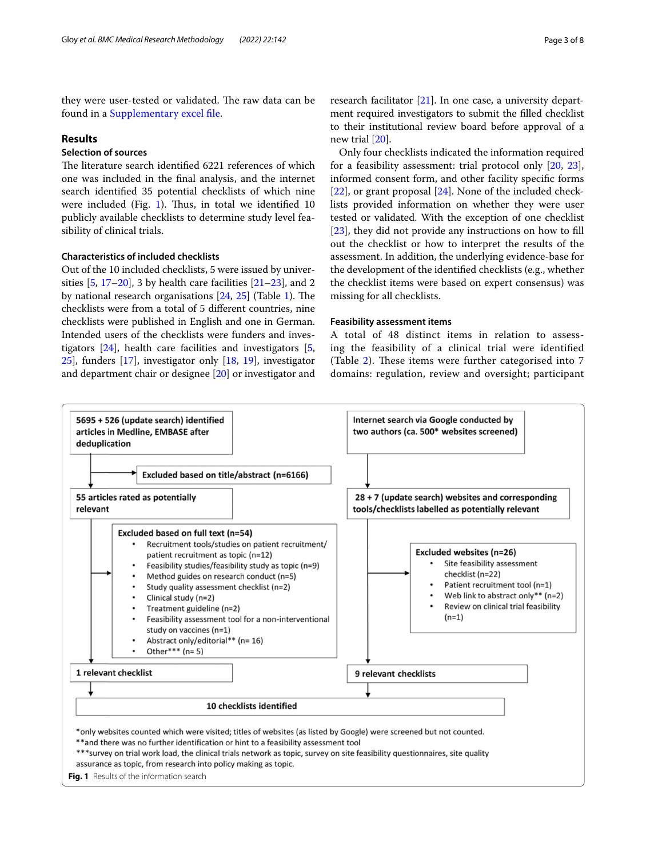they were user-tested or validated. The raw data can be found in a [Supplementary excel fle](#page-6-1).

#### **Results**

## **Selection of sources**

The literature search identified 6221 references of which one was included in the fnal analysis, and the internet search identifed 35 potential checklists of which nine were included (Fig. [1](#page-2-0)). Thus, in total we identified  $10$ publicly available checklists to determine study level feasibility of clinical trials.

#### **Characteristics of included checklists**

Out of the 10 included checklists, 5 were issued by universities  $[5, 17–20]$  $[5, 17–20]$  $[5, 17–20]$  $[5, 17–20]$  $[5, 17–20]$ , 3 by health care facilities  $[21–23]$  $[21–23]$ , and 2 by national research organisations  $[24, 25]$  $[24, 25]$  $[24, 25]$  $[24, 25]$  $[24, 25]$  (Table [1\)](#page-3-0). The checklists were from a total of 5 diferent countries, nine checklists were published in English and one in German. Intended users of the checklists were funders and investigators [\[24\]](#page-7-20), health care facilities and investigators [\[5](#page-7-4), [25](#page-7-21)], funders [[17](#page-7-16)], investigator only [\[18](#page-7-22), [19\]](#page-7-23), investigator and department chair or designee [\[20\]](#page-7-17) or investigator and research facilitator [\[21](#page-7-18)]. In one case, a university department required investigators to submit the flled checklist to their institutional review board before approval of a new trial [[20\]](#page-7-17).

Only four checklists indicated the information required for a feasibility assessment: trial protocol only [\[20](#page-7-17), [23](#page-7-19)], informed consent form, and other facility specifc forms [[22\]](#page-7-24), or grant proposal [\[24](#page-7-20)]. None of the included checklists provided information on whether they were user tested or validated. With the exception of one checklist [[23\]](#page-7-19), they did not provide any instructions on how to fll out the checklist or how to interpret the results of the assessment. In addition, the underlying evidence-base for the development of the identifed checklists (e.g., whether the checklist items were based on expert consensus) was missing for all checklists.

#### **Feasibility assessment items**

A total of 48 distinct items in relation to assessing the feasibility of a clinical trial were identifed (Table  $2$ ). These items were further categorised into  $7$ domains: regulation, review and oversight; participant

<span id="page-2-0"></span>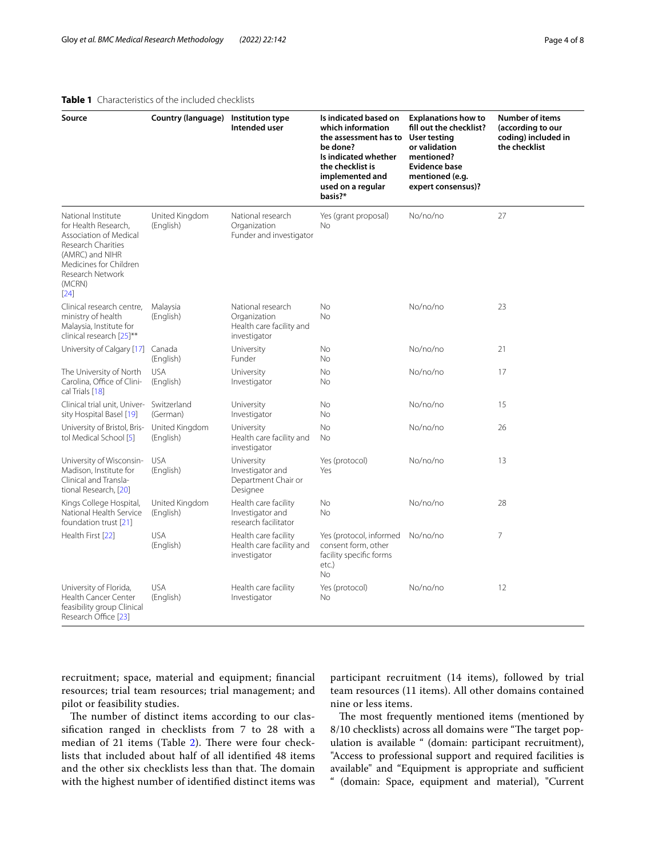#### <span id="page-3-0"></span>**Table 1** Characteristics of the included checklists

| Source                                                                                                                                                                          | <b>Country (language)</b>   | Institution type<br>Intended user                                             | Is indicated based on<br>which information<br>the assessment has to<br>be done?<br>Is indicated whether<br>the checklist is | <b>Explanations how to</b><br>fill out the checklist?<br>User testing<br>or validation<br>mentioned?<br><b>Evidence base</b> | <b>Number of items</b><br>(according to our<br>coding) included in<br>the checklist |
|---------------------------------------------------------------------------------------------------------------------------------------------------------------------------------|-----------------------------|-------------------------------------------------------------------------------|-----------------------------------------------------------------------------------------------------------------------------|------------------------------------------------------------------------------------------------------------------------------|-------------------------------------------------------------------------------------|
|                                                                                                                                                                                 |                             |                                                                               | implemented and<br>used on a regular<br>basis?*                                                                             | mentioned (e.g.<br>expert consensus)?                                                                                        |                                                                                     |
| National Institute<br>for Health Research,<br>Association of Medical<br>Research Charities<br>(AMRC) and NIHR<br>Medicines for Children<br>Research Network<br>(MCRN)<br>$[24]$ | United Kingdom<br>(English) | National research<br>Organization<br>Funder and investigator                  | Yes (grant proposal)<br>No                                                                                                  | No/no/no                                                                                                                     | 27                                                                                  |
| Clinical research centre,<br>ministry of health<br>Malaysia, Institute for<br>clinical research [25]**                                                                          | Malaysia<br>(English)       | National research<br>Organization<br>Health care facility and<br>investigator | No<br><b>No</b>                                                                                                             | No/no/no                                                                                                                     | 23                                                                                  |
| University of Calgary [17]                                                                                                                                                      | Canada<br>(English)         | University<br>Funder                                                          | No<br>No                                                                                                                    | No/no/no                                                                                                                     | 21                                                                                  |
| The University of North<br>Carolina, Office of Clini-<br>cal Trials [18]                                                                                                        | <b>USA</b><br>(English)     | University<br>Investigator                                                    | No<br>No                                                                                                                    | No/no/no                                                                                                                     | 17                                                                                  |
| Clinical trial unit, Univer-<br>sity Hospital Basel [19]                                                                                                                        | Switzerland<br>(German)     | University<br>Investigator                                                    | No<br>No                                                                                                                    | No/no/no                                                                                                                     | 15                                                                                  |
| University of Bristol, Bris-<br>tol Medical School [5]                                                                                                                          | United Kingdom<br>(English) | University<br>Health care facility and<br>investigator                        | No<br><b>No</b>                                                                                                             | No/no/no                                                                                                                     | 26                                                                                  |
| University of Wisconsin-<br>Madison, Institute for<br>Clinical and Transla-<br>tional Research, [20]                                                                            | <b>USA</b><br>(English)     | University<br>Investigator and<br>Department Chair or<br>Designee             | Yes (protocol)<br>Yes                                                                                                       | No/no/no                                                                                                                     | 13                                                                                  |
| Kings College Hospital,<br>National Health Service<br>foundation trust [21]                                                                                                     | United Kingdom<br>(English) | Health care facility<br>Investigator and<br>research facilitator              | No<br>No                                                                                                                    | No/no/no                                                                                                                     | 28                                                                                  |
| Health First [22]                                                                                                                                                               | <b>USA</b><br>(English)     | Health care facility<br>Health care facility and<br>investigator              | Yes (protocol, informed<br>consent form, other<br>facility specific forms<br>etc.)<br><b>No</b>                             | No/no/no                                                                                                                     | 7                                                                                   |
| University of Florida,<br>Health Cancer Center<br>feasibility group Clinical<br>Research Office [23]                                                                            | <b>USA</b><br>(English)     | Health care facility<br>Investigator                                          | Yes (protocol)<br>No                                                                                                        | No/no/no                                                                                                                     | 12                                                                                  |

recruitment; space, material and equipment; fnancial resources; trial team resources; trial management; and pilot or feasibility studies.

The number of distinct items according to our classifcation ranged in checklists from 7 to 28 with a median of [2](#page-4-0)1 items (Table  $2$ ). There were four checklists that included about half of all identifed 48 items and the other six checklists less than that. The domain with the highest number of identifed distinct items was participant recruitment (14 items), followed by trial team resources (11 items). All other domains contained nine or less items.

The most frequently mentioned items (mentioned by 8/10 checklists) across all domains were "The target population is available " (domain: participant recruitment), "Access to professional support and required facilities is available" and "Equipment is appropriate and sufficient " (domain: Space, equipment and material), "Current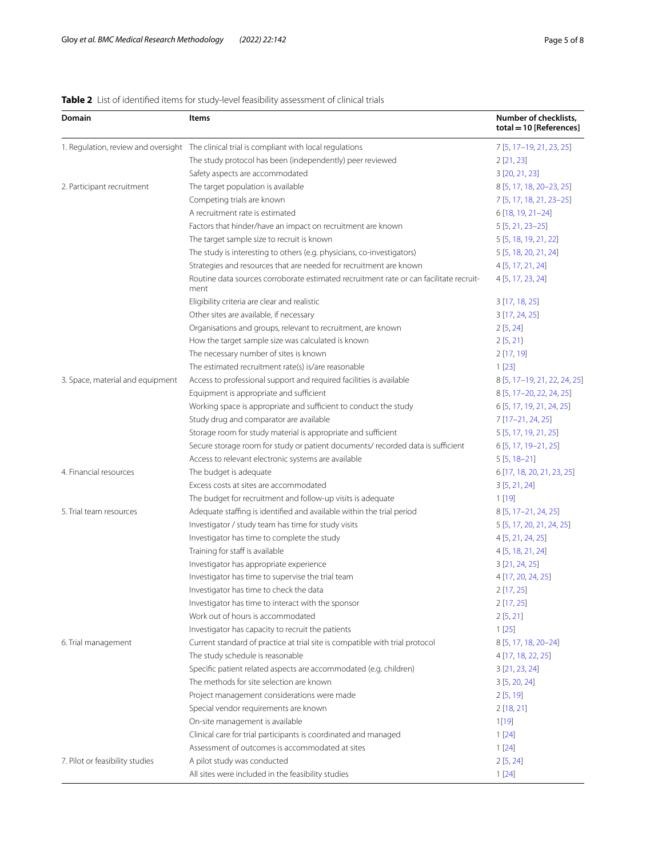# <span id="page-4-0"></span>**Table 2** List of identified items for study-level feasibility assessment of clinical trials

| Domain                           | Items                                                                                          | Number of checklists,<br>total = 10 [References] |
|----------------------------------|------------------------------------------------------------------------------------------------|--------------------------------------------------|
|                                  | 1. Regulation, review and oversight The clinical trial is compliant with local regulations     | 7 [5, 17-19, 21, 23, 25]                         |
|                                  | The study protocol has been (independently) peer reviewed                                      | 2[21, 23]                                        |
|                                  | Safety aspects are accommodated                                                                | 3 [20, 21, 23]                                   |
| 2. Participant recruitment       | The target population is available                                                             | 8 [5, 17, 18, 20-23, 25]                         |
|                                  | Competing trials are known                                                                     | 7 [5, 17, 18, 21, 23-25]                         |
|                                  | A recruitment rate is estimated                                                                | 6 [18, 19, 21-24]                                |
|                                  | Factors that hinder/have an impact on recruitment are known                                    | $5[5, 21, 23-25]$                                |
|                                  | The target sample size to recruit is known                                                     | 5 [5, 18, 19, 21, 22]                            |
|                                  | The study is interesting to others (e.g. physicians, co-investigators)                         | 5 [5, 18, 20, 21, 24]                            |
|                                  | Strategies and resources that are needed for recruitment are known                             | 4 [5, 17, 21, 24]                                |
|                                  | Routine data sources corroborate estimated recruitment rate or can facilitate recruit-<br>ment | 4 [5, 17, 23, 24]                                |
|                                  | Eligibility criteria are clear and realistic                                                   | 3 [17, 18, 25]                                   |
|                                  | Other sites are available, if necessary                                                        | 3 [17, 24, 25]                                   |
|                                  | Organisations and groups, relevant to recruitment, are known                                   | 2[5, 24]                                         |
|                                  | How the target sample size was calculated is known                                             | 2[5, 21]                                         |
|                                  | The necessary number of sites is known                                                         | 2[17, 19]                                        |
|                                  | The estimated recruitment rate(s) is/are reasonable                                            | 1[23]                                            |
| 3. Space, material and equipment | Access to professional support and required facilities is available                            | 8 [5, 17-19, 21, 22, 24, 25]                     |
|                                  | Equipment is appropriate and sufficient                                                        | 8 [5, 17-20, 22, 24, 25]                         |
|                                  | Working space is appropriate and sufficient to conduct the study                               | 6 [5, 17, 19, 21, 24, 25]                        |
|                                  | Study drug and comparator are available                                                        | 7 [17-21, 24, 25]                                |
|                                  | Storage room for study material is appropriate and sufficient                                  | 5 [5, 17, 19, 21, 25]                            |
|                                  | Secure storage room for study or patient documents/ recorded data is sufficient                | 6 [5, 17, 19 - 21, 25]                           |
|                                  | Access to relevant electronic systems are available                                            | $5[5, 18-21]$                                    |
| 4. Financial resources           | The budget is adequate                                                                         | 6 [17, 18, 20, 21, 23, 25]                       |
|                                  | Excess costs at sites are accommodated                                                         | 3[5, 21, 24]                                     |
|                                  | The budget for recruitment and follow-up visits is adequate                                    | 1[19]                                            |
| 5. Trial team resources          | Adequate staffing is identified and available within the trial period                          | $8[5, 17-21, 24, 25]$                            |
|                                  | Investigator / study team has time for study visits                                            | 5 [5, 17, 20, 21, 24, 25]                        |
|                                  | Investigator has time to complete the study                                                    | 4 [5, 21, 24, 25]                                |
|                                  | Training for staff is available                                                                | 4 [5, 18, 21, 24]                                |
|                                  | Investigator has appropriate experience                                                        | 3 [21, 24, 25]                                   |
|                                  | Investigator has time to supervise the trial team                                              | 4 [17, 20, 24, 25]                               |
|                                  | Investigator has time to check the data                                                        | 2[17, 25]                                        |
|                                  | Investigator has time to interact with the sponsor                                             | 2[17, 25]                                        |
|                                  | Work out of hours is accommodated                                                              | 2[5, 21]                                         |
|                                  | Investigator has capacity to recruit the patients                                              | 1[25]                                            |
| 6. Trial management              | Current standard of practice at trial site is compatible with trial protocol                   | 8 [5, 17, 18, 20-24]                             |
|                                  | The study schedule is reasonable                                                               | 4 [17, 18, 22, 25]                               |
|                                  | Specific patient related aspects are accommodated (e.g. children)                              | 3[21, 23, 24]                                    |
|                                  | The methods for site selection are known                                                       | 3[5, 20, 24]                                     |
|                                  | Project management considerations were made                                                    | 2[5, 19]                                         |
|                                  | Special vendor requirements are known                                                          | 2[18, 21]                                        |
|                                  | On-site management is available                                                                | 1[19]                                            |
|                                  | Clinical care for trial participants is coordinated and managed                                | 1[24]                                            |
|                                  | Assessment of outcomes is accommodated at sites                                                | 1[24]                                            |
| 7. Pilot or feasibility studies  | A pilot study was conducted                                                                    | 2[5, 24]                                         |
|                                  | All sites were included in the feasibility studies                                             | 1[24]                                            |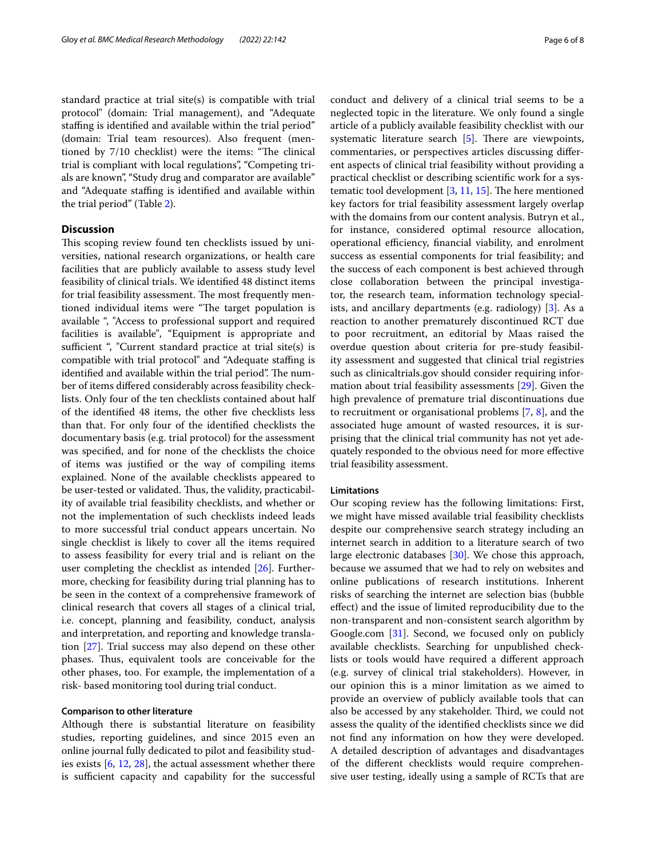standard practice at trial site(s) is compatible with trial protocol" (domain: Trial management), and "Adequate staffing is identified and available within the trial period" (domain: Trial team resources). Also frequent (mentioned by 7/10 checklist) were the items: "The clinical trial is compliant with local regulations", "Competing trials are known", "Study drug and comparator are available" and "Adequate staffing is identified and available within the trial period" (Table [2\)](#page-4-0).

#### **Discussion**

This scoping review found ten checklists issued by universities, national research organizations, or health care facilities that are publicly available to assess study level feasibility of clinical trials. We identifed 48 distinct items for trial feasibility assessment. The most frequently mentioned individual items were "The target population is available ", "Access to professional support and required facilities is available", "Equipment is appropriate and sufficient ", "Current standard practice at trial site(s) is compatible with trial protocol" and "Adequate stafng is identified and available within the trial period". The number of items difered considerably across feasibility checklists. Only four of the ten checklists contained about half of the identifed 48 items, the other fve checklists less than that. For only four of the identifed checklists the documentary basis (e.g. trial protocol) for the assessment was specifed, and for none of the checklists the choice of items was justifed or the way of compiling items explained. None of the available checklists appeared to be user-tested or validated. Thus, the validity, practicability of available trial feasibility checklists, and whether or not the implementation of such checklists indeed leads to more successful trial conduct appears uncertain. No single checklist is likely to cover all the items required to assess feasibility for every trial and is reliant on the user completing the checklist as intended [[26](#page-7-25)]. Furthermore, checking for feasibility during trial planning has to be seen in the context of a comprehensive framework of clinical research that covers all stages of a clinical trial, i.e. concept, planning and feasibility, conduct, analysis and interpretation, and reporting and knowledge translation [[27\]](#page-7-26). Trial success may also depend on these other phases. Thus, equivalent tools are conceivable for the other phases, too. For example, the implementation of a risk- based monitoring tool during trial conduct.

#### **Comparison to other literature**

Although there is substantial literature on feasibility studies, reporting guidelines, and since 2015 even an online journal fully dedicated to pilot and feasibility studies exists [\[6,](#page-7-5) [12,](#page-7-11) [28\]](#page-7-27), the actual assessment whether there is sufficient capacity and capability for the successful conduct and delivery of a clinical trial seems to be a neglected topic in the literature. We only found a single article of a publicly available feasibility checklist with our systematic literature search  $[5]$  $[5]$ . There are viewpoints, commentaries, or perspectives articles discussing diferent aspects of clinical trial feasibility without providing a practical checklist or describing scientifc work for a systematic tool development  $[3, 11, 15]$  $[3, 11, 15]$  $[3, 11, 15]$  $[3, 11, 15]$  $[3, 11, 15]$  $[3, 11, 15]$ . The here mentioned key factors for trial feasibility assessment largely overlap with the domains from our content analysis. Butryn et al., for instance, considered optimal resource allocation, operational efficiency, financial viability, and enrolment success as essential components for trial feasibility; and the success of each component is best achieved through close collaboration between the principal investigator, the research team, information technology specialists, and ancillary departments (e.g. radiology) [[3\]](#page-7-2). As a reaction to another prematurely discontinued RCT due to poor recruitment, an editorial by Maas raised the overdue question about criteria for pre-study feasibility assessment and suggested that clinical trial registries such as clinicaltrials.gov should consider requiring information about trial feasibility assessments [\[29](#page-7-28)]. Given the high prevalence of premature trial discontinuations due to recruitment or organisational problems [\[7](#page-7-6), [8](#page-7-7)], and the associated huge amount of wasted resources, it is surprising that the clinical trial community has not yet adequately responded to the obvious need for more efective trial feasibility assessment.

#### **Limitations**

Our scoping review has the following limitations: First, we might have missed available trial feasibility checklists despite our comprehensive search strategy including an internet search in addition to a literature search of two large electronic databases [[30\]](#page-7-29). We chose this approach, because we assumed that we had to rely on websites and online publications of research institutions. Inherent risks of searching the internet are selection bias (bubble efect) and the issue of limited reproducibility due to the non-transparent and non-consistent search algorithm by Google.com [[31\]](#page-7-30). Second, we focused only on publicly available checklists. Searching for unpublished checklists or tools would have required a diferent approach (e.g. survey of clinical trial stakeholders). However, in our opinion this is a minor limitation as we aimed to provide an overview of publicly available tools that can also be accessed by any stakeholder. Third, we could not assess the quality of the identifed checklists since we did not fnd any information on how they were developed. A detailed description of advantages and disadvantages of the diferent checklists would require comprehensive user testing, ideally using a sample of RCTs that are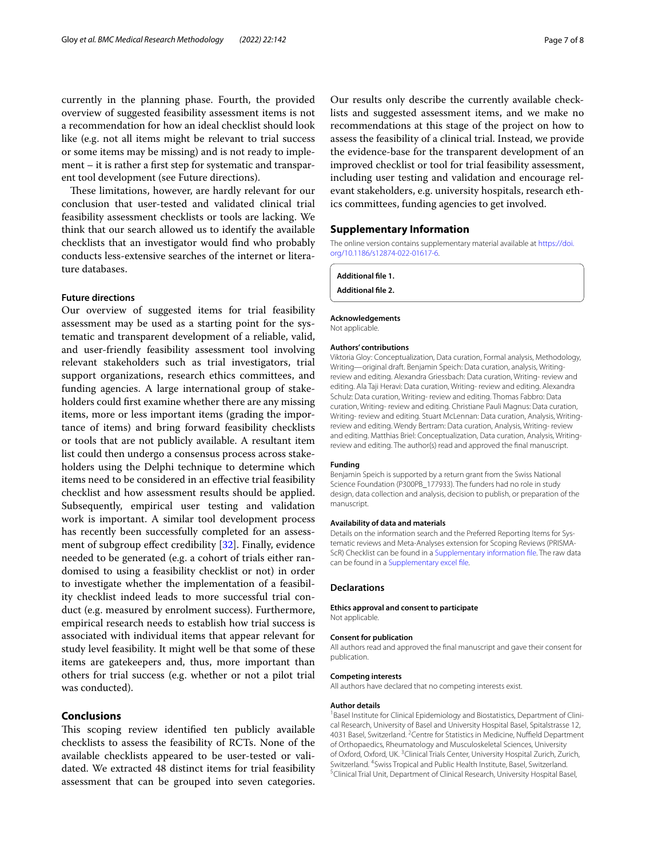currently in the planning phase. Fourth, the provided overview of suggested feasibility assessment items is not a recommendation for how an ideal checklist should look like (e.g. not all items might be relevant to trial success or some items may be missing) and is not ready to implement – it is rather a frst step for systematic and transparent tool development (see Future directions).

These limitations, however, are hardly relevant for our conclusion that user-tested and validated clinical trial feasibility assessment checklists or tools are lacking. We think that our search allowed us to identify the available checklists that an investigator would fnd who probably conducts less-extensive searches of the internet or literature databases.

#### **Future directions**

Our overview of suggested items for trial feasibility assessment may be used as a starting point for the systematic and transparent development of a reliable, valid, and user-friendly feasibility assessment tool involving relevant stakeholders such as trial investigators, trial support organizations, research ethics committees, and funding agencies. A large international group of stakeholders could frst examine whether there are any missing items, more or less important items (grading the importance of items) and bring forward feasibility checklists or tools that are not publicly available. A resultant item list could then undergo a consensus process across stakeholders using the Delphi technique to determine which items need to be considered in an efective trial feasibility checklist and how assessment results should be applied. Subsequently, empirical user testing and validation work is important. A similar tool development process has recently been successfully completed for an assess-ment of subgroup effect credibility [\[32\]](#page-7-31). Finally, evidence needed to be generated (e.g. a cohort of trials either randomised to using a feasibility checklist or not) in order to investigate whether the implementation of a feasibility checklist indeed leads to more successful trial conduct (e.g. measured by enrolment success). Furthermore, empirical research needs to establish how trial success is associated with individual items that appear relevant for study level feasibility. It might well be that some of these items are gatekeepers and, thus, more important than others for trial success (e.g. whether or not a pilot trial was conducted).

#### **Conclusions**

This scoping review identified ten publicly available checklists to assess the feasibility of RCTs. None of the available checklists appeared to be user-tested or validated. We extracted 48 distinct items for trial feasibility assessment that can be grouped into seven categories.

Our results only describe the currently available checklists and suggested assessment items, and we make no recommendations at this stage of the project on how to assess the feasibility of a clinical trial. Instead, we provide the evidence-base for the transparent development of an improved checklist or tool for trial feasibility assessment, including user testing and validation and encourage relevant stakeholders, e.g. university hospitals, research ethics committees, funding agencies to get involved.

#### **Supplementary Information**

The online version contains supplementary material available at [https://doi.](https://doi.org/10.1186/s12874-022-01617-6) [org/10.1186/s12874-022-01617-6](https://doi.org/10.1186/s12874-022-01617-6).

<span id="page-6-1"></span><span id="page-6-0"></span>**Additional fle 1. Additional fle 2.**

**Acknowledgements**

Not applicable.

#### **Authors' contributions**

Viktoria Gloy: Conceptualization, Data curation, Formal analysis, Methodology, Writing—original draft. Benjamin Speich: Data curation, analysis, Writingreview and editing. Alexandra Griessbach: Data curation, Writing- review and editing. Ala Taji Heravi: Data curation, Writing- review and editing. Alexandra Schulz: Data curation, Writing- review and editing. Thomas Fabbro: Data curation, Writing- review and editing. Christiane Pauli Magnus: Data curation, Writing- review and editing. Stuart McLennan: Data curation, Analysis, Writingreview and editing. Wendy Bertram: Data curation, Analysis, Writing- review and editing. Matthias Briel: Conceptualization, Data curation, Analysis, Writingreview and editing. The author(s) read and approved the fnal manuscript.

#### **Funding**

Benjamin Speich is supported by a return grant from the Swiss National Science Foundation (P300PB\_177933). The funders had no role in study design, data collection and analysis, decision to publish, or preparation of the manuscript.

#### **Availability of data and materials**

Details on the information search and the Preferred Reporting Items for Systematic reviews and Meta-Analyses extension for Scoping Reviews (PRISMA-ScR) Checklist can be found in a [Supplementary information fle.](#page-6-0) The raw data can be found in a [Supplementary excel fle](#page-6-1).

#### **Declarations**

**Ethics approval and consent to participate** Not applicable.

#### **Consent for publication**

All authors read and approved the fnal manuscript and gave their consent for publication.

#### **Competing interests**

All authors have declared that no competing interests exist.

#### **Author details**

<sup>1</sup> Basel Institute for Clinical Epidemiology and Biostatistics, Department of Clinical Research, University of Basel and University Hospital Basel, Spitalstrasse 12, 4031 Basel, Switzerland. <sup>2</sup> Centre for Statistics in Medicine, Nuffield Department of Orthopaedics, Rheumatology and Musculoskeletal Sciences, University of Oxford, Oxford, UK.<sup>3</sup> Clinical Trials Center, University Hospital Zurich, Zurich, Switzerland. <sup>4</sup> Swiss Tropical and Public Health Institute, Basel, Switzerland.<br><sup>5</sup> Clinical Trial Unit, Department of Clinical Besearch, University Hospital Bas <sup>5</sup> Clinical Trial Unit, Department of Clinical Research, University Hospital Basel,